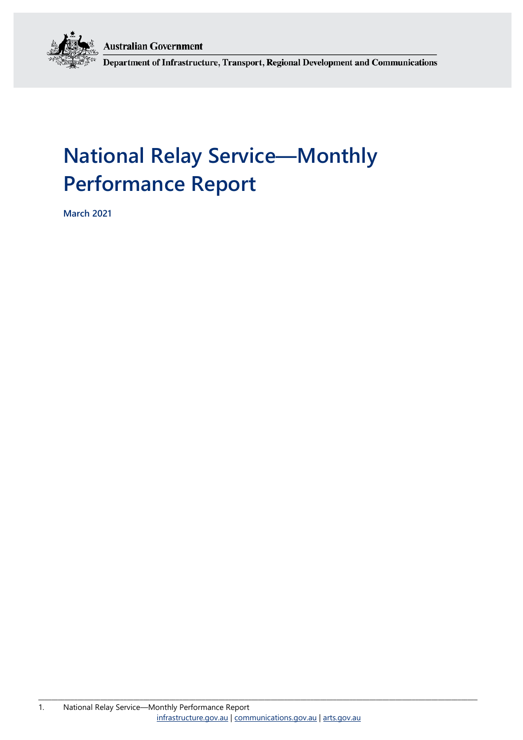**Australian Government** 



Department of Infrastructure, Transport, Regional Development and Communications

# **National Relay Service—Monthly Performance Report**

**March 2021**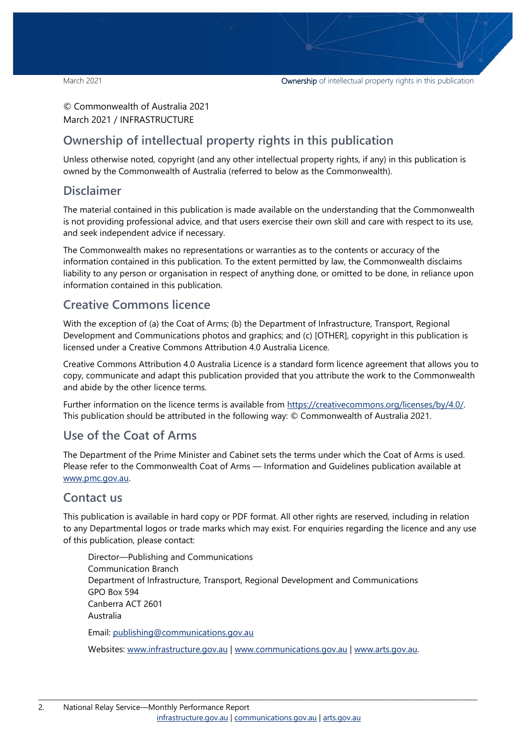© Commonwealth of Australia 2021 March 2021 / INFRASTRUCTURE

### **Ownership of intellectual property rights in this publication**

Unless otherwise noted, copyright (and any other intellectual property rights, if any) in this publication is owned by the Commonwealth of Australia (referred to below as the Commonwealth).

#### **Disclaimer**

The material contained in this publication is made available on the understanding that the Commonwealth is not providing professional advice, and that users exercise their own skill and care with respect to its use, and seek independent advice if necessary.

The Commonwealth makes no representations or warranties as to the contents or accuracy of the information contained in this publication. To the extent permitted by law, the Commonwealth disclaims liability to any person or organisation in respect of anything done, or omitted to be done, in reliance upon information contained in this publication.

#### **Creative Commons licence**

With the exception of (a) the Coat of Arms; (b) the Department of Infrastructure, Transport, Regional Development and Communications photos and graphics; and (c) [OTHER], copyright in this publication is licensed under a Creative Commons Attribution 4.0 Australia Licence.

Creative Commons Attribution 4.0 Australia Licence is a standard form licence agreement that allows you to copy, communicate and adapt this publication provided that you attribute the work to the Commonwealth and abide by the other licence terms.

Further information on the licence terms is available from [https://creativecommons.org/licenses/by/4.0/.](https://creativecommons.org/licenses/by/4.0/) This publication should be attributed in the following way: © Commonwealth of Australia 2021.

### **Use of the Coat of Arms**

The Department of the Prime Minister and Cabinet sets the terms under which the Coat of Arms is used. Please refer to the Commonwealth Coat of Arms — Information and Guidelines publication available at [www.pmc.gov.au.](http://www.pmc.gov.au/) 

#### **Contact us**

This publication is available in hard copy or PDF format. All other rights are reserved, including in relation to any Departmental logos or trade marks which may exist. For enquiries regarding the licence and any use of this publication, please contact:

Director—Publishing and Communications Communication Branch Department of Infrastructure, Transport, Regional Development and Communications GPO Box 594 Canberra ACT 2601 Australia Email: [publishing@communications.gov.au](mailto:publishing@communications.gov.au)

Websites: [www.infrastructure.gov.au](http://www.infrastructure.gov.au/) | [www.communications.gov.au](http://www.communications.gov.au/) | [www.arts.gov.au.](http://www.arts.gov.au/)

\_\_\_\_\_\_\_\_\_\_\_\_\_\_\_\_\_\_\_\_\_\_\_\_\_\_\_\_\_\_\_\_\_\_\_\_\_\_\_\_\_\_\_\_\_\_\_\_\_\_\_\_\_\_\_\_\_\_\_\_\_\_\_\_\_\_\_\_\_\_\_\_\_\_\_\_\_\_\_\_\_\_\_\_\_\_\_\_\_\_\_\_\_\_\_\_\_\_\_\_\_\_\_\_\_\_\_\_\_\_\_\_\_\_\_\_\_\_\_\_\_\_\_\_\_\_\_\_\_\_\_\_\_\_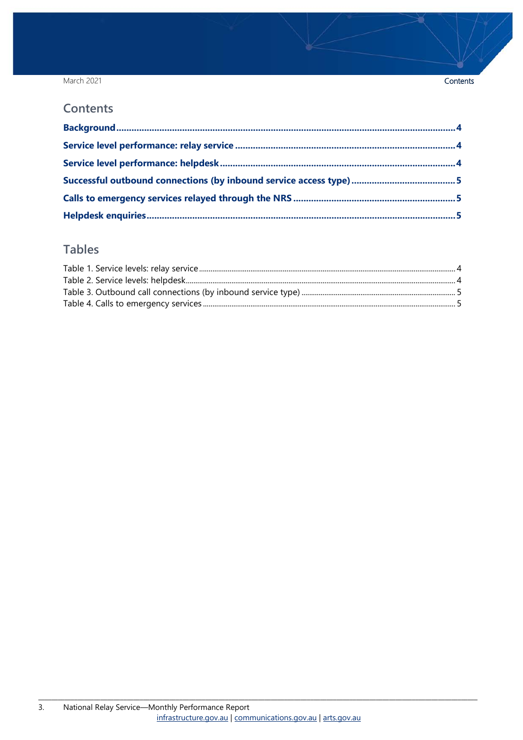#### March 2021

#### Contents

#### **Contents**

### **Tables**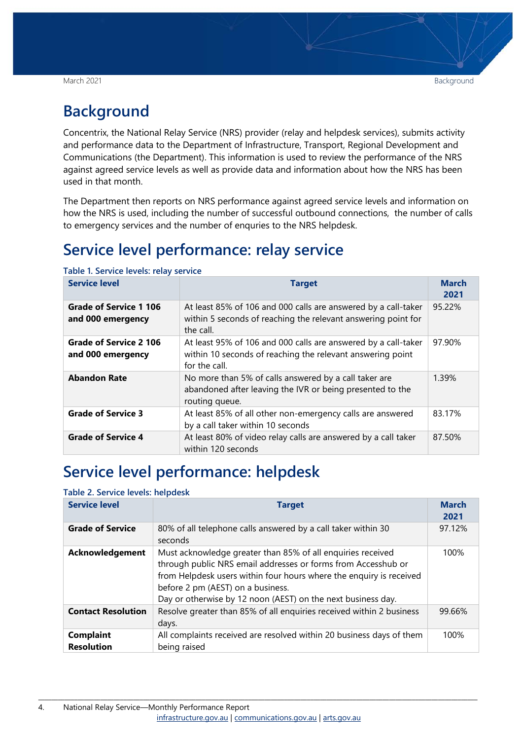# <span id="page-3-0"></span>**Background**

Concentrix, the National Relay Service (NRS) provider (relay and helpdesk services), submits activity and performance data to the Department of Infrastructure, Transport, Regional Development and Communications (the Department). This information is used to review the performance of the NRS against agreed service levels as well as provide data and information about how the NRS has been used in that month.

The Department then reports on NRS performance against agreed service levels and information on how the NRS is used, including the number of successful outbound connections, the number of calls to emergency services and the number of enquries to the NRS helpdesk.

# <span id="page-3-1"></span>**Service level performance: relay service**

| <b>Service level</b>                               | <b>Target</b>                                                                                                                                 | <b>March</b><br>2021 |
|----------------------------------------------------|-----------------------------------------------------------------------------------------------------------------------------------------------|----------------------|
| <b>Grade of Service 1 106</b><br>and 000 emergency | At least 85% of 106 and 000 calls are answered by a call-taker<br>within 5 seconds of reaching the relevant answering point for<br>the call.  | 95.22%               |
| <b>Grade of Service 2 106</b><br>and 000 emergency | At least 95% of 106 and 000 calls are answered by a call-taker<br>within 10 seconds of reaching the relevant answering point<br>for the call. | 97.90%               |
| <b>Abandon Rate</b>                                | No more than 5% of calls answered by a call taker are<br>abandoned after leaving the IVR or being presented to the<br>routing queue.          | 1.39%                |
| <b>Grade of Service 3</b>                          | At least 85% of all other non-emergency calls are answered<br>by a call taker within 10 seconds                                               | 83.17%               |
| <b>Grade of Service 4</b>                          | At least 80% of video relay calls are answered by a call taker<br>within 120 seconds                                                          | 87.50%               |

<span id="page-3-3"></span>**Table 1. Service levels: relay service**

## <span id="page-3-2"></span>**Service level performance: helpdesk**

#### <span id="page-3-4"></span>**Table 2. Service levels: helpdesk**

| <b>Service level</b>                  | <b>Target</b>                                                                                                                                                                                                                                                                                            | <b>March</b><br>2021 |
|---------------------------------------|----------------------------------------------------------------------------------------------------------------------------------------------------------------------------------------------------------------------------------------------------------------------------------------------------------|----------------------|
| <b>Grade of Service</b>               | 80% of all telephone calls answered by a call taker within 30<br>seconds                                                                                                                                                                                                                                 | 97.12%               |
| Acknowledgement                       | Must acknowledge greater than 85% of all enquiries received<br>through public NRS email addresses or forms from Accesshub or<br>from Helpdesk users within four hours where the enquiry is received<br>before 2 pm (AEST) on a business.<br>Day or otherwise by 12 noon (AEST) on the next business day. | 100%                 |
| <b>Contact Resolution</b>             | Resolve greater than 85% of all enquiries received within 2 business<br>days.                                                                                                                                                                                                                            | 99.66%               |
| <b>Complaint</b><br><b>Resolution</b> | All complaints received are resolved within 20 business days of them<br>being raised                                                                                                                                                                                                                     | 100%                 |

\_\_\_\_\_\_\_\_\_\_\_\_\_\_\_\_\_\_\_\_\_\_\_\_\_\_\_\_\_\_\_\_\_\_\_\_\_\_\_\_\_\_\_\_\_\_\_\_\_\_\_\_\_\_\_\_\_\_\_\_\_\_\_\_\_\_\_\_\_\_\_\_\_\_\_\_\_\_\_\_\_\_\_\_\_\_\_\_\_\_\_\_\_\_\_\_\_\_\_\_\_\_\_\_\_\_\_\_\_\_\_\_\_\_\_\_\_\_\_\_\_\_\_\_\_\_\_\_\_\_\_\_\_\_